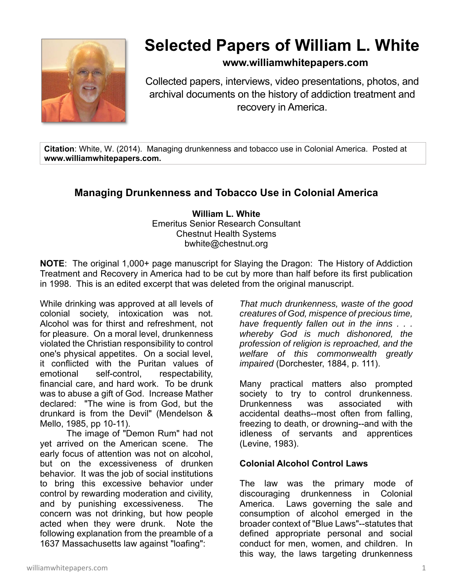

# **Selected Papers of William L. White**

### **www.williamwhitepapers.com**

Collected papers, interviews, video presentations, photos, and archival documents on the history of addiction treatment and recovery in America.

**Citation**: White, W. (2014). Managing drunkenness and tobacco use in Colonial America. Posted at **www.williamwhitepapers.com.** 

## **Managing Drunkenness and Tobacco Use in Colonial America**

**William L. White**  Emeritus Senior Research Consultant Chestnut Health Systems bwhite@chestnut.org

**NOTE**: The original 1,000+ page manuscript for Slaying the Dragon: The History of Addiction Treatment and Recovery in America had to be cut by more than half before its first publication in 1998. This is an edited excerpt that was deleted from the original manuscript.

While drinking was approved at all levels of colonial society, intoxication was not. Alcohol was for thirst and refreshment, not for pleasure. On a moral level, drunkenness violated the Christian responsibility to control one's physical appetites. On a social level, it conflicted with the Puritan values of emotional self-control, respectability, financial care, and hard work. To be drunk was to abuse a gift of God. Increase Mather declared: "The wine is from God, but the drunkard is from the Devil" (Mendelson & Mello, 1985, pp 10-11).

The image of "Demon Rum" had not yet arrived on the American scene. The early focus of attention was not on alcohol, but on the excessiveness of drunken behavior. It was the job of social institutions to bring this excessive behavior under control by rewarding moderation and civility, and by punishing excessiveness. The concern was not drinking, but how people acted when they were drunk. Note the following explanation from the preamble of a 1637 Massachusetts law against "loafing":

*That much drunkenness, waste of the good creatures of God, mispence of precious time, have frequently fallen out in the inns . . . whereby God is much dishonored, the profession of religion is reproached, and the welfare of this commonwealth greatly impaired* (Dorchester, 1884, p. 111).

Many practical matters also prompted society to try to control drunkenness. Drunkenness was associated with accidental deaths--most often from falling, freezing to death, or drowning--and with the idleness of servants and apprentices (Levine, 1983).

#### **Colonial Alcohol Control Laws**

The law was the primary mode of discouraging drunkenness in Colonial America. Laws governing the sale and consumption of alcohol emerged in the broader context of "Blue Laws"--statutes that defined appropriate personal and social conduct for men, women, and children. In this way, the laws targeting drunkenness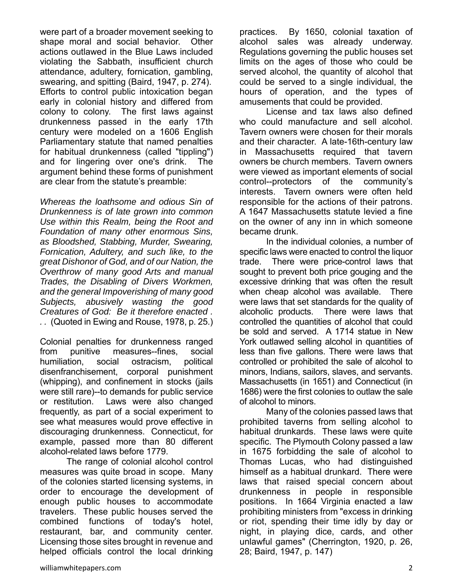were part of a broader movement seeking to shape moral and social behavior. Other actions outlawed in the Blue Laws included violating the Sabbath, insufficient church attendance, adultery, fornication, gambling, swearing, and spitting (Baird, 1947, p. 274). Efforts to control public intoxication began early in colonial history and differed from colony to colony. The first laws against drunkenness passed in the early 17th century were modeled on a 1606 English Parliamentary statute that named penalties for habitual drunkenness (called "tippling") and for lingering over one's drink. The argument behind these forms of punishment are clear from the statute's preamble:

*Whereas the loathsome and odious Sin of Drunkenness is of late grown into common Use within this Realm, being the Root and Foundation of many other enormous Sins, as Bloodshed, Stabbing, Murder, Swearing, Fornication, Adultery, and such like, to the great Dishonor of God, and of our Nation, the Overthrow of many good Arts and manual Trades, the Disabling of Divers Workmen, and the general Impoverishing of many good Subjects, abusively wasting the good Creatures of God: Be it therefore enacted . . .* (Quoted in Ewing and Rouse, 1978, p. 25.)

Colonial penalties for drunkenness ranged from punitive measures--fines, social humiliation, social ostracism, political disenfranchisement, corporal punishment (whipping), and confinement in stocks (jails were still rare)--to demands for public service or restitution. Laws were also changed frequently, as part of a social experiment to see what measures would prove effective in discouraging drunkenness. Connecticut, for example, passed more than 80 different alcohol-related laws before 1779.

The range of colonial alcohol control measures was quite broad in scope. Many of the colonies started licensing systems, in order to encourage the development of enough public houses to accommodate travelers. These public houses served the combined functions of today's hotel, restaurant, bar, and community center. Licensing those sites brought in revenue and helped officials control the local drinking

practices. By 1650, colonial taxation of alcohol sales was already underway. Regulations governing the public houses set limits on the ages of those who could be served alcohol, the quantity of alcohol that could be served to a single individual, the hours of operation, and the types of amusements that could be provided.

License and tax laws also defined who could manufacture and sell alcohol. Tavern owners were chosen for their morals and their character. A late-16th-century law in Massachusetts required that tavern owners be church members. Tavern owners were viewed as important elements of social control--protectors of the community's interests. Tavern owners were often held responsible for the actions of their patrons. A 1647 Massachusetts statute levied a fine on the owner of any inn in which someone became drunk.

In the individual colonies, a number of specific laws were enacted to control the liquor trade. There were price-control laws that sought to prevent both price gouging and the excessive drinking that was often the result when cheap alcohol was available. There were laws that set standards for the quality of alcoholic products. There were laws that controlled the quantities of alcohol that could be sold and served. A 1714 statue in New York outlawed selling alcohol in quantities of less than five gallons. There were laws that controlled or prohibited the sale of alcohol to minors, Indians, sailors, slaves, and servants. Massachusetts (in 1651) and Connecticut (in 1686) were the first colonies to outlaw the sale of alcohol to minors.

Many of the colonies passed laws that prohibited taverns from selling alcohol to habitual drunkards. These laws were quite specific. The Plymouth Colony passed a law in 1675 forbidding the sale of alcohol to Thomas Lucas, who had distinguished himself as a habitual drunkard. There were laws that raised special concern about drunkenness in people in responsible positions. In 1664 Virginia enacted a law prohibiting ministers from "excess in drinking or riot, spending their time idly by day or night, in playing dice, cards, and other unlawful games" (Cherrington, 1920, p. 26, 28; Baird, 1947, p. 147)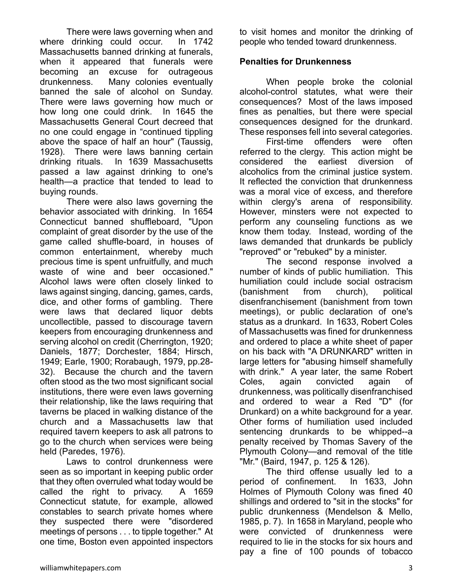There were laws governing when and where drinking could occur. In 1742 Massachusetts banned drinking at funerals, when it appeared that funerals were becoming an excuse for outrageous drunkenness. Many colonies eventually banned the sale of alcohol on Sunday. There were laws governing how much or how long one could drink. In 1645 the Massachusetts General Court decreed that no one could engage in "continued tippling above the space of half an hour" (Taussig, 1928). There were laws banning certain drinking rituals. In 1639 Massachusetts passed a law against drinking to one's health—a practice that tended to lead to buying rounds.

There were also laws governing the behavior associated with drinking. In 1654 Connecticut banned shuffleboard, "Upon complaint of great disorder by the use of the game called shuffle-board, in houses of common entertainment, whereby much precious time is spent unfruitfully, and much waste of wine and beer occasioned." Alcohol laws were often closely linked to laws against singing, dancing, games, cards, dice, and other forms of gambling. There were laws that declared liquor debts uncollectible, passed to discourage tavern keepers from encouraging drunkenness and serving alcohol on credit (Cherrington, 1920; Daniels, 1877; Dorchester, 1884; Hirsch, 1949; Earle, 1900; Rorabaugh, 1979, pp.28- 32). Because the church and the tavern often stood as the two most significant social institutions, there were even laws governing their relationship, like the laws requiring that taverns be placed in walking distance of the church and a Massachusetts law that required tavern keepers to ask all patrons to go to the church when services were being held (Paredes, 1976).

Laws to control drunkenness were seen as so important in keeping public order that they often overruled what today would be called the right to privacy. A 1659 Connecticut statute, for example, allowed constables to search private homes where they suspected there were "disordered meetings of persons . . . to tipple together." At one time, Boston even appointed inspectors

to visit homes and monitor the drinking of people who tended toward drunkenness.

#### **Penalties for Drunkenness**

When people broke the colonial alcohol-control statutes, what were their consequences? Most of the laws imposed fines as penalties, but there were special consequences designed for the drunkard. These responses fell into several categories.

 First-time offenders were often referred to the clergy. This action might be considered the earliest diversion of alcoholics from the criminal justice system. It reflected the conviction that drunkenness was a moral vice of excess, and therefore within clergy's arena of responsibility. However, minsters were not expected to perform any counseling functions as we know them today. Instead, wording of the laws demanded that drunkards be publicly "reproved" or "rebuked" by a minister.

 The second response involved a number of kinds of public humiliation. This humiliation could include social ostracism (banishment from church), political disenfranchisement (banishment from town meetings), or public declaration of one's status as a drunkard. In 1633, Robert Coles of Massachusetts was fined for drunkenness and ordered to place a white sheet of paper on his back with "A DRUNKARD" written in large letters for "abusing himself shamefully with drink." A year later, the same Robert Coles, again convicted again of drunkenness, was politically disenfranchised and ordered to wear a Red "D" (for Drunkard) on a white background for a year. Other forms of humiliation used included sentencing drunkards to be whipped--a penalty received by Thomas Savery of the Plymouth Colony—and removal of the title "Mr." (Baird, 1947, p. 125 & 126).

The third offense usually led to a period of confinement. In 1633, John Holmes of Plymouth Colony was fined 40 shillings and ordered to "sit in the stocks" for public drunkenness (Mendelson & Mello, 1985, p. 7). In 1658 in Maryland, people who were convicted of drunkenness were required to lie in the stocks for six hours and pay a fine of 100 pounds of tobacco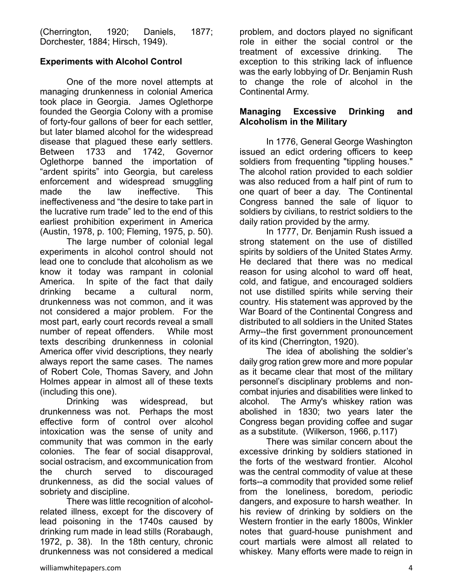(Cherrington, 1920; Daniels, 1877; Dorchester, 1884; Hirsch, 1949).

#### **Experiments with Alcohol Control**

One of the more novel attempts at managing drunkenness in colonial America took place in Georgia. James Oglethorpe founded the Georgia Colony with a promise of forty-four gallons of beer for each settler, but later blamed alcohol for the widespread disease that plagued these early settlers. Between 1733 and 1742, Governor Oglethorpe banned the importation of "ardent spirits" into Georgia, but careless enforcement and widespread smuggling made the law ineffective. This ineffectiveness and "the desire to take part in the lucrative rum trade" led to the end of this earliest prohibition experiment in America (Austin, 1978, p. 100; Fleming, 1975, p. 50).

The large number of colonial legal experiments in alcohol control should not lead one to conclude that alcoholism as we know it today was rampant in colonial America. In spite of the fact that daily drinking became a cultural norm, drunkenness was not common, and it was not considered a major problem. For the most part, early court records reveal a small number of repeat offenders. While most texts describing drunkenness in colonial America offer vivid descriptions, they nearly always report the same cases. The names of Robert Cole, Thomas Savery, and John Holmes appear in almost all of these texts (including this one).

Drinking was widespread, but drunkenness was not. Perhaps the most effective form of control over alcohol intoxication was the sense of unity and community that was common in the early colonies. The fear of social disapproval, social ostracism, and excommunication from the church served to discouraged drunkenness, as did the social values of sobriety and discipline.

There was little recognition of alcoholrelated illness, except for the discovery of lead poisoning in the 1740s caused by drinking rum made in lead stills (Rorabaugh, 1972, p. 38). In the 18th century, chronic drunkenness was not considered a medical problem, and doctors played no significant role in either the social control or the treatment of excessive drinking. The exception to this striking lack of influence was the early lobbying of Dr. Benjamin Rush to change the role of alcohol in the Continental Army.

#### **Managing Excessive Drinking and Alcoholism in the Military**

In 1776, General George Washington issued an edict ordering officers to keep soldiers from frequenting "tippling houses." The alcohol ration provided to each soldier was also reduced from a half pint of rum to one quart of beer a day. The Continental Congress banned the sale of liquor to soldiers by civilians, to restrict soldiers to the daily ration provided by the army.

In 1777, Dr. Benjamin Rush issued a strong statement on the use of distilled spirits by soldiers of the United States Army. He declared that there was no medical reason for using alcohol to ward off heat, cold, and fatigue, and encouraged soldiers not use distilled spirits while serving their country. His statement was approved by the War Board of the Continental Congress and distributed to all soldiers in the United States Army--the first government pronouncement of its kind (Cherrington, 1920).

The idea of abolishing the soldier's daily grog ration grew more and more popular as it became clear that most of the military personnel's disciplinary problems and noncombat injuries and disabilities were linked to alcohol. The Army's whiskey ration was abolished in 1830; two years later the Congress began providing coffee and sugar as a substitute. (Wilkerson, 1966, p.117)

There was similar concern about the excessive drinking by soldiers stationed in the forts of the westward frontier. Alcohol was the central commodity of value at these forts--a commodity that provided some relief from the loneliness, boredom, periodic dangers, and exposure to harsh weather. In his review of drinking by soldiers on the Western frontier in the early 1800s, Winkler notes that guard-house punishment and court martials were almost all related to whiskey. Many efforts were made to reign in